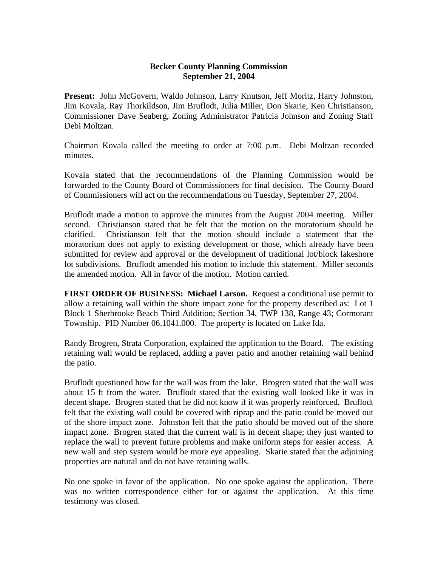## **Becker County Planning Commission September 21, 2004**

**Present:** John McGovern, Waldo Johnson, Larry Knutson, Jeff Moritz, Harry Johnston, Jim Kovala, Ray Thorkildson, Jim Bruflodt, Julia Miller, Don Skarie, Ken Christianson, Commissioner Dave Seaberg, Zoning Administrator Patricia Johnson and Zoning Staff Debi Moltzan.

Chairman Kovala called the meeting to order at 7:00 p.m. Debi Moltzan recorded minutes.

Kovala stated that the recommendations of the Planning Commission would be forwarded to the County Board of Commissioners for final decision. The County Board of Commissioners will act on the recommendations on Tuesday, September 27, 2004.

Bruflodt made a motion to approve the minutes from the August 2004 meeting. Miller second. Christianson stated that he felt that the motion on the moratorium should be clarified. Christianson felt that the motion should include a statement that the moratorium does not apply to existing development or those, which already have been submitted for review and approval or the development of traditional lot/block lakeshore lot subdivisions. Bruflodt amended his motion to include this statement. Miller seconds the amended motion. All in favor of the motion. Motion carried.

**FIRST ORDER OF BUSINESS: Michael Larson.** Request a conditional use permit to allow a retaining wall within the shore impact zone for the property described as: Lot 1 Block 1 Sherbrooke Beach Third Addition; Section 34, TWP 138, Range 43; Cormorant Township. PID Number 06.1041.000. The property is located on Lake Ida.

Randy Brogren, Strata Corporation, explained the application to the Board. The existing retaining wall would be replaced, adding a paver patio and another retaining wall behind the patio.

Bruflodt questioned how far the wall was from the lake. Brogren stated that the wall was about 15 ft from the water. Bruflodt stated that the existing wall looked like it was in decent shape. Brogren stated that he did not know if it was properly reinforced. Bruflodt felt that the existing wall could be covered with riprap and the patio could be moved out of the shore impact zone. Johnston felt that the patio should be moved out of the shore impact zone. Brogren stated that the current wall is in decent shape; they just wanted to replace the wall to prevent future problems and make uniform steps for easier access. A new wall and step system would be more eye appealing. Skarie stated that the adjoining properties are natural and do not have retaining walls.

No one spoke in favor of the application. No one spoke against the application. There was no written correspondence either for or against the application. At this time testimony was closed.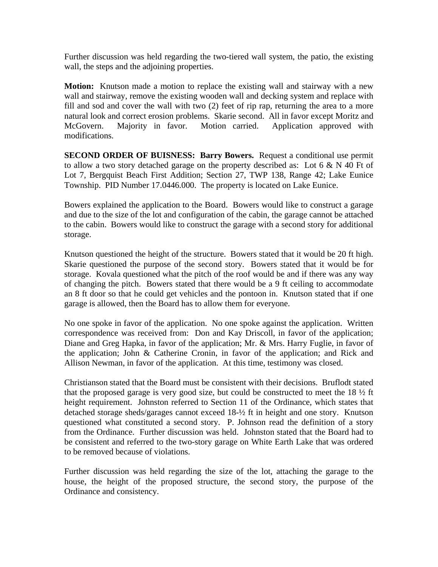Further discussion was held regarding the two-tiered wall system, the patio, the existing wall, the steps and the adjoining properties.

**Motion:** Knutson made a motion to replace the existing wall and stairway with a new wall and stairway, remove the existing wooden wall and decking system and replace with fill and sod and cover the wall with two (2) feet of rip rap, returning the area to a more natural look and correct erosion problems. Skarie second. All in favor except Moritz and McGovern. Majority in favor. Motion carried. Application approved with modifications.

**SECOND ORDER OF BUISNESS: Barry Bowers.** Request a conditional use permit to allow a two story detached garage on the property described as: Lot  $6 \& N 40$  Ft of Lot 7, Bergquist Beach First Addition; Section 27, TWP 138, Range 42; Lake Eunice Township. PID Number 17.0446.000. The property is located on Lake Eunice.

Bowers explained the application to the Board. Bowers would like to construct a garage and due to the size of the lot and configuration of the cabin, the garage cannot be attached to the cabin. Bowers would like to construct the garage with a second story for additional storage.

Knutson questioned the height of the structure. Bowers stated that it would be 20 ft high. Skarie questioned the purpose of the second story. Bowers stated that it would be for storage. Kovala questioned what the pitch of the roof would be and if there was any way of changing the pitch. Bowers stated that there would be a 9 ft ceiling to accommodate an 8 ft door so that he could get vehicles and the pontoon in. Knutson stated that if one garage is allowed, then the Board has to allow them for everyone.

No one spoke in favor of the application. No one spoke against the application. Written correspondence was received from: Don and Kay Driscoll, in favor of the application; Diane and Greg Hapka, in favor of the application; Mr. & Mrs. Harry Fuglie, in favor of the application; John & Catherine Cronin, in favor of the application; and Rick and Allison Newman, in favor of the application. At this time, testimony was closed.

Christianson stated that the Board must be consistent with their decisions. Bruflodt stated that the proposed garage is very good size, but could be constructed to meet the  $18\frac{1}{2}$  ft height requirement. Johnston referred to Section 11 of the Ordinance, which states that detached storage sheds/garages cannot exceed 18-½ ft in height and one story. Knutson questioned what constituted a second story. P. Johnson read the definition of a story from the Ordinance. Further discussion was held. Johnston stated that the Board had to be consistent and referred to the two-story garage on White Earth Lake that was ordered to be removed because of violations.

Further discussion was held regarding the size of the lot, attaching the garage to the house, the height of the proposed structure, the second story, the purpose of the Ordinance and consistency.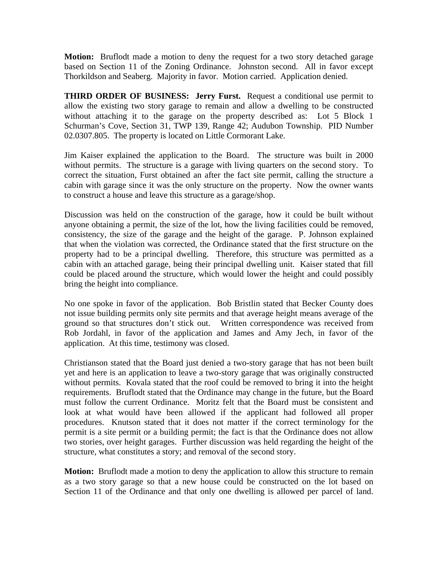**Motion:** Bruflodt made a motion to deny the request for a two story detached garage based on Section 11 of the Zoning Ordinance. Johnston second. All in favor except Thorkildson and Seaberg. Majority in favor. Motion carried. Application denied.

**THIRD ORDER OF BUSINESS: Jerry Furst.** Request a conditional use permit to allow the existing two story garage to remain and allow a dwelling to be constructed without attaching it to the garage on the property described as: Lot 5 Block 1 Schurman's Cove, Section 31, TWP 139, Range 42; Audubon Township. PID Number 02.0307.805. The property is located on Little Cormorant Lake.

Jim Kaiser explained the application to the Board. The structure was built in 2000 without permits. The structure is a garage with living quarters on the second story. To correct the situation, Furst obtained an after the fact site permit, calling the structure a cabin with garage since it was the only structure on the property. Now the owner wants to construct a house and leave this structure as a garage/shop.

Discussion was held on the construction of the garage, how it could be built without anyone obtaining a permit, the size of the lot, how the living facilities could be removed, consistency, the size of the garage and the height of the garage. P. Johnson explained that when the violation was corrected, the Ordinance stated that the first structure on the property had to be a principal dwelling. Therefore, this structure was permitted as a cabin with an attached garage, being their principal dwelling unit. Kaiser stated that fill could be placed around the structure, which would lower the height and could possibly bring the height into compliance.

No one spoke in favor of the application. Bob Bristlin stated that Becker County does not issue building permits only site permits and that average height means average of the ground so that structures don't stick out. Written correspondence was received from Rob Jordahl, in favor of the application and James and Amy Jech, in favor of the application. At this time, testimony was closed.

Christianson stated that the Board just denied a two-story garage that has not been built yet and here is an application to leave a two-story garage that was originally constructed without permits. Kovala stated that the roof could be removed to bring it into the height requirements. Bruflodt stated that the Ordinance may change in the future, but the Board must follow the current Ordinance. Moritz felt that the Board must be consistent and look at what would have been allowed if the applicant had followed all proper procedures. Knutson stated that it does not matter if the correct terminology for the permit is a site permit or a building permit; the fact is that the Ordinance does not allow two stories, over height garages. Further discussion was held regarding the height of the structure, what constitutes a story; and removal of the second story.

**Motion:** Bruflodt made a motion to deny the application to allow this structure to remain as a two story garage so that a new house could be constructed on the lot based on Section 11 of the Ordinance and that only one dwelling is allowed per parcel of land.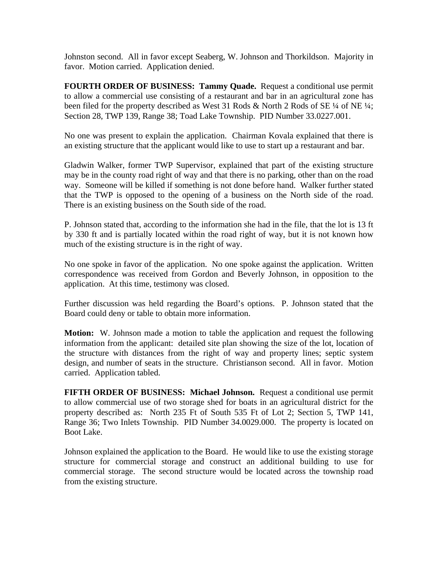Johnston second. All in favor except Seaberg, W. Johnson and Thorkildson. Majority in favor. Motion carried. Application denied.

**FOURTH ORDER OF BUSINESS: Tammy Quade.** Request a conditional use permit to allow a commercial use consisting of a restaurant and bar in an agricultural zone has been filed for the property described as West 31 Rods & North 2 Rods of SE 1/4 of NE 1/4; Section 28, TWP 139, Range 38; Toad Lake Township. PID Number 33.0227.001.

No one was present to explain the application. Chairman Kovala explained that there is an existing structure that the applicant would like to use to start up a restaurant and bar.

Gladwin Walker, former TWP Supervisor, explained that part of the existing structure may be in the county road right of way and that there is no parking, other than on the road way. Someone will be killed if something is not done before hand. Walker further stated that the TWP is opposed to the opening of a business on the North side of the road. There is an existing business on the South side of the road.

P. Johnson stated that, according to the information she had in the file, that the lot is 13 ft by 330 ft and is partially located within the road right of way, but it is not known how much of the existing structure is in the right of way.

No one spoke in favor of the application. No one spoke against the application. Written correspondence was received from Gordon and Beverly Johnson, in opposition to the application. At this time, testimony was closed.

Further discussion was held regarding the Board's options. P. Johnson stated that the Board could deny or table to obtain more information.

**Motion:** W. Johnson made a motion to table the application and request the following information from the applicant: detailed site plan showing the size of the lot, location of the structure with distances from the right of way and property lines; septic system design, and number of seats in the structure. Christianson second. All in favor. Motion carried. Application tabled.

**FIFTH ORDER OF BUSINESS: Michael Johnson.** Request a conditional use permit to allow commercial use of two storage shed for boats in an agricultural district for the property described as: North 235 Ft of South 535 Ft of Lot 2; Section 5, TWP 141, Range 36; Two Inlets Township. PID Number 34.0029.000. The property is located on Boot Lake.

Johnson explained the application to the Board. He would like to use the existing storage structure for commercial storage and construct an additional building to use for commercial storage. The second structure would be located across the township road from the existing structure.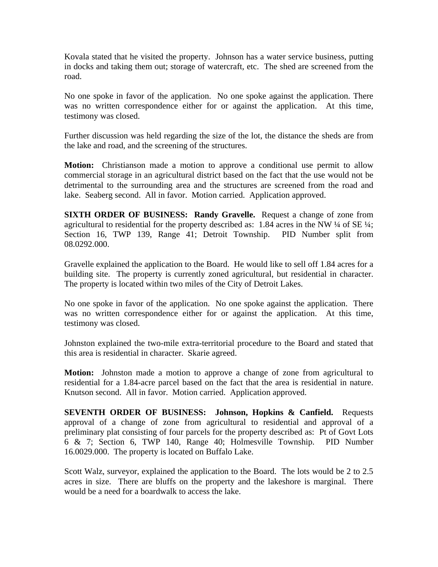Kovala stated that he visited the property. Johnson has a water service business, putting in docks and taking them out; storage of watercraft, etc. The shed are screened from the road.

No one spoke in favor of the application. No one spoke against the application. There was no written correspondence either for or against the application. At this time, testimony was closed.

Further discussion was held regarding the size of the lot, the distance the sheds are from the lake and road, and the screening of the structures.

**Motion:** Christianson made a motion to approve a conditional use permit to allow commercial storage in an agricultural district based on the fact that the use would not be detrimental to the surrounding area and the structures are screened from the road and lake. Seaberg second. All in favor. Motion carried. Application approved.

**SIXTH ORDER OF BUSINESS: Randy Gravelle.** Request a change of zone from agricultural to residential for the property described as: 1.84 acres in the NW  $\frac{1}{4}$  of SE  $\frac{1}{4}$ ; Section 16, TWP 139, Range 41; Detroit Township. PID Number split from 08.0292.000.

Gravelle explained the application to the Board. He would like to sell off 1.84 acres for a building site. The property is currently zoned agricultural, but residential in character. The property is located within two miles of the City of Detroit Lakes.

No one spoke in favor of the application. No one spoke against the application. There was no written correspondence either for or against the application. At this time, testimony was closed.

Johnston explained the two-mile extra-territorial procedure to the Board and stated that this area is residential in character. Skarie agreed.

**Motion:** Johnston made a motion to approve a change of zone from agricultural to residential for a 1.84-acre parcel based on the fact that the area is residential in nature. Knutson second. All in favor. Motion carried. Application approved.

**SEVENTH ORDER OF BUSINESS: Johnson, Hopkins & Canfield.** Requests approval of a change of zone from agricultural to residential and approval of a preliminary plat consisting of four parcels for the property described as: Pt of Govt Lots 6 & 7; Section 6, TWP 140, Range 40; Holmesville Township. PID Number 16.0029.000. The property is located on Buffalo Lake.

Scott Walz, surveyor, explained the application to the Board. The lots would be 2 to 2.5 acres in size. There are bluffs on the property and the lakeshore is marginal. There would be a need for a boardwalk to access the lake.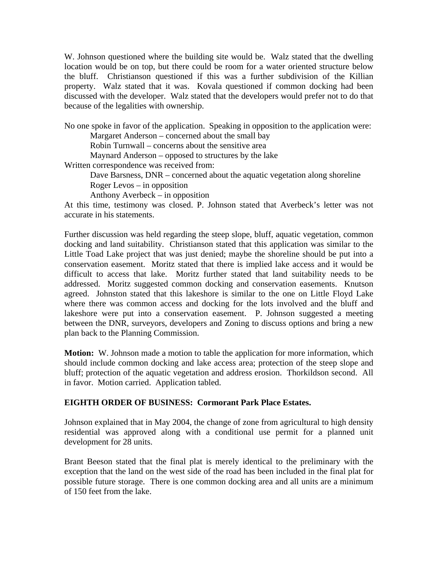W. Johnson questioned where the building site would be. Walz stated that the dwelling location would be on top, but there could be room for a water oriented structure below the bluff. Christianson questioned if this was a further subdivision of the Killian property. Walz stated that it was. Kovala questioned if common docking had been discussed with the developer. Walz stated that the developers would prefer not to do that because of the legalities with ownership.

No one spoke in favor of the application. Speaking in opposition to the application were: Margaret Anderson – concerned about the small bay

Robin Turnwall – concerns about the sensitive area

Maynard Anderson – opposed to structures by the lake

Written correspondence was received from:

Dave Barsness, DNR – concerned about the aquatic vegetation along shoreline Roger Levos – in opposition

Anthony Averbeck – in opposition

At this time, testimony was closed. P. Johnson stated that Averbeck's letter was not accurate in his statements.

Further discussion was held regarding the steep slope, bluff, aquatic vegetation, common docking and land suitability. Christianson stated that this application was similar to the Little Toad Lake project that was just denied; maybe the shoreline should be put into a conservation easement. Moritz stated that there is implied lake access and it would be difficult to access that lake. Moritz further stated that land suitability needs to be addressed. Moritz suggested common docking and conservation easements. Knutson agreed. Johnston stated that this lakeshore is similar to the one on Little Floyd Lake where there was common access and docking for the lots involved and the bluff and lakeshore were put into a conservation easement. P. Johnson suggested a meeting between the DNR, surveyors, developers and Zoning to discuss options and bring a new plan back to the Planning Commission.

**Motion:** W. Johnson made a motion to table the application for more information, which should include common docking and lake access area; protection of the steep slope and bluff; protection of the aquatic vegetation and address erosion. Thorkildson second. All in favor. Motion carried. Application tabled.

# **EIGHTH ORDER OF BUSINESS: Cormorant Park Place Estates.**

Johnson explained that in May 2004, the change of zone from agricultural to high density residential was approved along with a conditional use permit for a planned unit development for 28 units.

Brant Beeson stated that the final plat is merely identical to the preliminary with the exception that the land on the west side of the road has been included in the final plat for possible future storage. There is one common docking area and all units are a minimum of 150 feet from the lake.